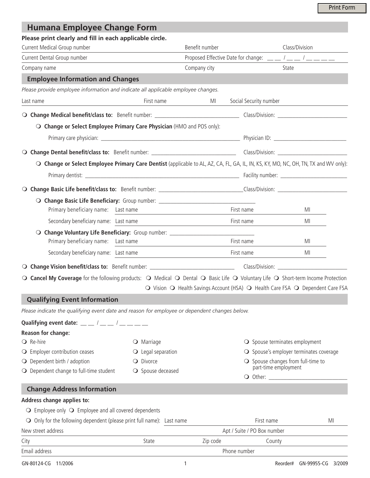## **Humana Employee Change Form**

| Please print clearly and fill in each applicable circle.                                                                                                                                                                                                                                                       |                             |                |                                                                                                                                                                                                                                                                                                           |                |                                                  |  |
|----------------------------------------------------------------------------------------------------------------------------------------------------------------------------------------------------------------------------------------------------------------------------------------------------------------|-----------------------------|----------------|-----------------------------------------------------------------------------------------------------------------------------------------------------------------------------------------------------------------------------------------------------------------------------------------------------------|----------------|--------------------------------------------------|--|
| Current Medical Group number                                                                                                                                                                                                                                                                                   |                             | Benefit number |                                                                                                                                                                                                                                                                                                           | Class/Division |                                                  |  |
| Current Dental Group number                                                                                                                                                                                                                                                                                    |                             |                | Proposed Effective Date for change: $\frac{1}{2}$ $\frac{1}{2}$ $\frac{1}{2}$ $\frac{1}{2}$ $\frac{1}{2}$ $\frac{1}{2}$ $\frac{1}{2}$ $\frac{1}{2}$ $\frac{1}{2}$ $\frac{1}{2}$ $\frac{1}{2}$ $\frac{1}{2}$ $\frac{1}{2}$ $\frac{1}{2}$ $\frac{1}{2}$ $\frac{1}{2}$ $\frac{1}{2}$ $\frac{1}{2}$ $\frac{1$ |                |                                                  |  |
| Company name                                                                                                                                                                                                                                                                                                   |                             | Company city   |                                                                                                                                                                                                                                                                                                           | State          |                                                  |  |
| <b>Employee Information and Changes</b>                                                                                                                                                                                                                                                                        |                             |                |                                                                                                                                                                                                                                                                                                           |                |                                                  |  |
| Please provide employee information and indicate all applicable employee changes.                                                                                                                                                                                                                              |                             |                |                                                                                                                                                                                                                                                                                                           |                |                                                  |  |
| Last name                                                                                                                                                                                                                                                                                                      | First name                  | MI             | Social Security number                                                                                                                                                                                                                                                                                    |                |                                                  |  |
|                                                                                                                                                                                                                                                                                                                |                             |                |                                                                                                                                                                                                                                                                                                           |                |                                                  |  |
| O Change or Select Employee Primary Care Physician (HMO and POS only):                                                                                                                                                                                                                                         |                             |                |                                                                                                                                                                                                                                                                                                           |                |                                                  |  |
|                                                                                                                                                                                                                                                                                                                |                             |                |                                                                                                                                                                                                                                                                                                           |                |                                                  |  |
|                                                                                                                                                                                                                                                                                                                |                             |                |                                                                                                                                                                                                                                                                                                           |                |                                                  |  |
| O Change or Select Employee Primary Care Dentist (applicable to AL, AZ, CA, FL, GA, IL, IN, KS, KY, MO, NC, OH, TN, TX and WV only):                                                                                                                                                                           |                             |                |                                                                                                                                                                                                                                                                                                           |                |                                                  |  |
|                                                                                                                                                                                                                                                                                                                |                             |                |                                                                                                                                                                                                                                                                                                           |                |                                                  |  |
|                                                                                                                                                                                                                                                                                                                |                             |                |                                                                                                                                                                                                                                                                                                           |                |                                                  |  |
| O Change Basic Life Beneficiary: Group number: _________________________________                                                                                                                                                                                                                               |                             |                |                                                                                                                                                                                                                                                                                                           |                |                                                  |  |
| Primary beneficiary name: Last name                                                                                                                                                                                                                                                                            |                             |                | First name                                                                                                                                                                                                                                                                                                |                | MI                                               |  |
| Secondary beneficiary name: Last name                                                                                                                                                                                                                                                                          |                             |                | First name                                                                                                                                                                                                                                                                                                |                | MI                                               |  |
| O Change Voluntary Life Beneficiary: Group number: _____________________________                                                                                                                                                                                                                               |                             |                |                                                                                                                                                                                                                                                                                                           |                |                                                  |  |
| Primary beneficiary name: Last name                                                                                                                                                                                                                                                                            |                             |                | First name                                                                                                                                                                                                                                                                                                |                | MI                                               |  |
| Secondary beneficiary name: Last name                                                                                                                                                                                                                                                                          |                             |                | First name                                                                                                                                                                                                                                                                                                |                | MI                                               |  |
|                                                                                                                                                                                                                                                                                                                |                             |                |                                                                                                                                                                                                                                                                                                           |                |                                                  |  |
| ○ Cancel My Coverage for the following products: ○ Medical ○ Dental ○ Basic Life ○ Voluntary Life ○ Short-term Income Protection                                                                                                                                                                               |                             |                |                                                                                                                                                                                                                                                                                                           |                |                                                  |  |
|                                                                                                                                                                                                                                                                                                                |                             |                | ○ Vision ○ Health Savings Account (HSA) ○ Health Care FSA ○ Dependent Care FSA                                                                                                                                                                                                                            |                |                                                  |  |
| <b>Qualifying Event Information</b>                                                                                                                                                                                                                                                                            |                             |                |                                                                                                                                                                                                                                                                                                           |                |                                                  |  |
| Please indicate the qualifying event date and reason for employee or dependent changes below.                                                                                                                                                                                                                  |                             |                |                                                                                                                                                                                                                                                                                                           |                |                                                  |  |
| Qualifying event date: $\frac{1}{2}$ $\frac{1}{2}$ $\frac{1}{2}$ $\frac{1}{2}$ $\frac{1}{2}$ $\frac{1}{2}$ $\frac{1}{2}$ $\frac{1}{2}$ $\frac{1}{2}$ $\frac{1}{2}$ $\frac{1}{2}$ $\frac{1}{2}$ $\frac{1}{2}$ $\frac{1}{2}$ $\frac{1}{2}$ $\frac{1}{2}$ $\frac{1}{2}$ $\frac{1}{2}$ $\frac{1}{2}$ $\frac{1}{2}$ |                             |                |                                                                                                                                                                                                                                                                                                           |                |                                                  |  |
| Reason for change:                                                                                                                                                                                                                                                                                             |                             |                |                                                                                                                                                                                                                                                                                                           |                |                                                  |  |
| $\bigcirc$ Re-hire                                                                                                                                                                                                                                                                                             | $\bigcirc$ Marriage         |                | $\bigcirc$ Spouse terminates employment                                                                                                                                                                                                                                                                   |                |                                                  |  |
| $\bigcirc$ Employer contribution ceases                                                                                                                                                                                                                                                                        | $\bigcirc$ Legal separation |                |                                                                                                                                                                                                                                                                                                           |                | $\bigcirc$ Spouse's employer terminates coverage |  |
| $\bigcirc$ Dependent birth / adoption                                                                                                                                                                                                                                                                          | O Divorce                   |                | $\bigcirc$ Spouse changes from full-time to<br>part-time employment                                                                                                                                                                                                                                       |                |                                                  |  |
| $\bigcirc$ Dependent change to full-time student                                                                                                                                                                                                                                                               | ○ Spouse deceased           |                |                                                                                                                                                                                                                                                                                                           |                |                                                  |  |
| <b>Change Address Information</b>                                                                                                                                                                                                                                                                              |                             |                |                                                                                                                                                                                                                                                                                                           |                |                                                  |  |
| Address change applies to:                                                                                                                                                                                                                                                                                     |                             |                |                                                                                                                                                                                                                                                                                                           |                |                                                  |  |
| $\bigcirc$ Employee only $\bigcirc$ Employee and all covered dependents                                                                                                                                                                                                                                        |                             |                |                                                                                                                                                                                                                                                                                                           |                |                                                  |  |
| $\bigcirc$ Only for the following dependent (please print full name): Last name                                                                                                                                                                                                                                |                             |                | First name                                                                                                                                                                                                                                                                                                |                | MI                                               |  |
| New street address                                                                                                                                                                                                                                                                                             |                             |                | Apt / Suite / PO Box number                                                                                                                                                                                                                                                                               |                |                                                  |  |
| City                                                                                                                                                                                                                                                                                                           | State                       | Zip code       | County                                                                                                                                                                                                                                                                                                    |                |                                                  |  |
| Email address                                                                                                                                                                                                                                                                                                  |                             | Phone number   |                                                                                                                                                                                                                                                                                                           |                |                                                  |  |